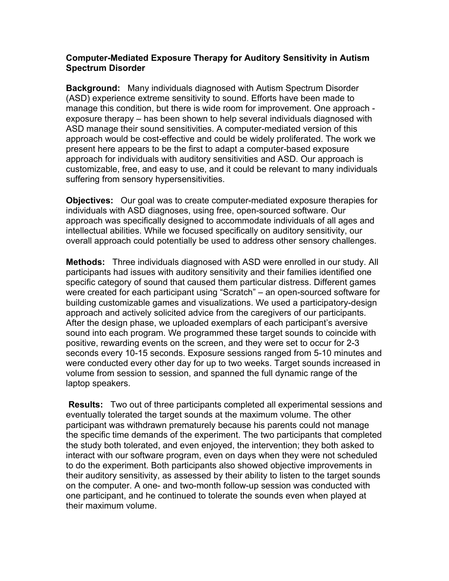## **Computer-Mediated Exposure Therapy for Auditory Sensitivity in Autism Spectrum Disorder**

**Background:** Many individuals diagnosed with Autism Spectrum Disorder (ASD) experience extreme sensitivity to sound. Efforts have been made to manage this condition, but there is wide room for improvement. One approach exposure therapy – has been shown to help several individuals diagnosed with ASD manage their sound sensitivities. A computer-mediated version of this approach would be cost-effective and could be widely proliferated. The work we present here appears to be the first to adapt a computer-based exposure approach for individuals with auditory sensitivities and ASD. Our approach is customizable, free, and easy to use, and it could be relevant to many individuals suffering from sensory hypersensitivities.

**Objectives:** Our goal was to create computer-mediated exposure therapies for individuals with ASD diagnoses, using free, open-sourced software. Our approach was specifically designed to accommodate individuals of all ages and intellectual abilities. While we focused specifically on auditory sensitivity, our overall approach could potentially be used to address other sensory challenges.

**Methods:** Three individuals diagnosed with ASD were enrolled in our study. All participants had issues with auditory sensitivity and their families identified one specific category of sound that caused them particular distress. Different games were created for each participant using "Scratch" – an open-sourced software for building customizable games and visualizations. We used a participatory-design approach and actively solicited advice from the caregivers of our participants. After the design phase, we uploaded exemplars of each participant's aversive sound into each program. We programmed these target sounds to coincide with positive, rewarding events on the screen, and they were set to occur for 2-3 seconds every 10-15 seconds. Exposure sessions ranged from 5-10 minutes and were conducted every other day for up to two weeks. Target sounds increased in volume from session to session, and spanned the full dynamic range of the laptop speakers.

**Results:** Two out of three participants completed all experimental sessions and eventually tolerated the target sounds at the maximum volume. The other participant was withdrawn prematurely because his parents could not manage the specific time demands of the experiment. The two participants that completed the study both tolerated, and even enjoyed, the intervention; they both asked to interact with our software program, even on days when they were not scheduled to do the experiment. Both participants also showed objective improvements in their auditory sensitivity, as assessed by their ability to listen to the target sounds on the computer. A one- and two-month follow-up session was conducted with one participant, and he continued to tolerate the sounds even when played at their maximum volume.